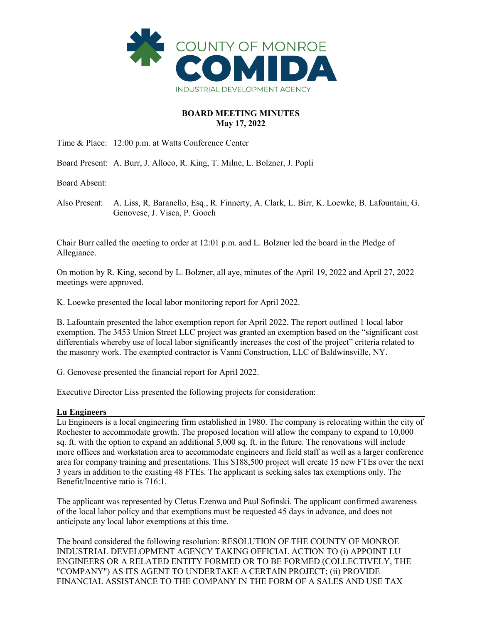

## **BOARD MEETING MINUTES May 17, 2022**

Time & Place: 12:00 p.m. at Watts Conference Center

Board Present: A. Burr, J. Alloco, R. King, T. Milne, L. Bolzner, J. Popli

Board Absent:

Also Present: A. Liss, R. Baranello, Esq., R. Finnerty, A. Clark, L. Birr, K. Loewke, B. Lafountain, G. Genovese, J. Visca, P. Gooch

Chair Burr called the meeting to order at 12:01 p.m. and L. Bolzner led the board in the Pledge of Allegiance.

On motion by R. King, second by L. Bolzner, all aye, minutes of the April 19, 2022 and April 27, 2022 meetings were approved.

K. Loewke presented the local labor monitoring report for April 2022.

B. Lafountain presented the labor exemption report for April 2022. The report outlined 1 local labor exemption. The 3453 Union Street LLC project was granted an exemption based on the "significant cost differentials whereby use of local labor significantly increases the cost of the project" criteria related to the masonry work. The exempted contractor is Vanni Construction, LLC of Baldwinsville, NY.

G. Genovese presented the financial report for April 2022.

Executive Director Liss presented the following projects for consideration:

# **Lu Engineers**

Lu Engineers is a local engineering firm established in 1980. The company is relocating within the city of Rochester to accommodate growth. The proposed location will allow the company to expand to 10,000 sq. ft. with the option to expand an additional 5,000 sq. ft. in the future. The renovations will include more offices and workstation area to accommodate engineers and field staff as well as a larger conference area for company training and presentations. This \$188,500 project will create 15 new FTEs over the next 3 years in addition to the existing 48 FTEs. The applicant is seeking sales tax exemptions only. The Benefit/Incentive ratio is 716:1.

The applicant was represented by Cletus Ezenwa and Paul Sofinski. The applicant confirmed awareness of the local labor policy and that exemptions must be requested 45 days in advance, and does not anticipate any local labor exemptions at this time.

The board considered the following resolution: RESOLUTION OF THE COUNTY OF MONROE INDUSTRIAL DEVELOPMENT AGENCY TAKING OFFICIAL ACTION TO (i) APPOINT LU ENGINEERS OR A RELATED ENTITY FORMED OR TO BE FORMED (COLLECTIVELY, THE "COMPANY") AS ITS AGENT TO UNDERTAKE A CERTAIN PROJECT; (ii) PROVIDE FINANCIAL ASSISTANCE TO THE COMPANY IN THE FORM OF A SALES AND USE TAX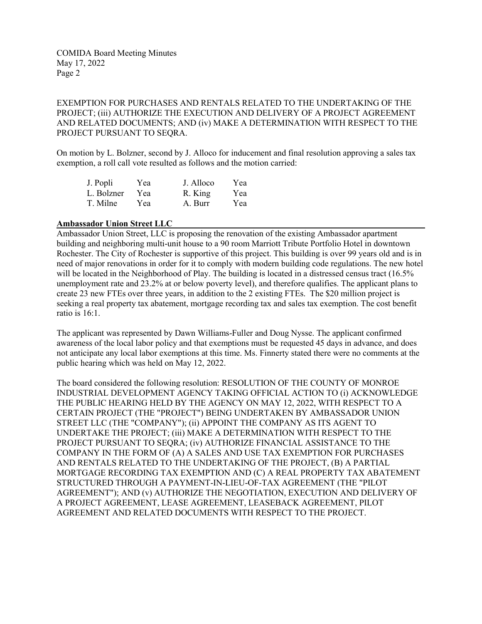COMIDA Board Meeting Minutes May 17, 2022 Page 2

EXEMPTION FOR PURCHASES AND RENTALS RELATED TO THE UNDERTAKING OF THE PROJECT; (iii) AUTHORIZE THE EXECUTION AND DELIVERY OF A PROJECT AGREEMENT AND RELATED DOCUMENTS; AND (iv) MAKE A DETERMINATION WITH RESPECT TO THE PROJECT PURSUANT TO SEQRA.

On motion by L. Bolzner, second by J. Alloco for inducement and final resolution approving a sales tax exemption, a roll call vote resulted as follows and the motion carried:

| J. Popli   | Yea | J. Alloco | Yea |
|------------|-----|-----------|-----|
| L. Bolzner | Yea | R. King   | Yea |
| T. Milne   | Yea | A. Burr   | Yea |

### **Ambassador Union Street LLC**

Ambassador Union Street, LLC is proposing the renovation of the existing Ambassador apartment building and neighboring multi-unit house to a 90 room Marriott Tribute Portfolio Hotel in downtown Rochester. The City of Rochester is supportive of this project. This building is over 99 years old and is in need of major renovations in order for it to comply with modern building code regulations. The new hotel will be located in the Neighborhood of Play. The building is located in a distressed census tract (16.5%) unemployment rate and 23.2% at or below poverty level), and therefore qualifies. The applicant plans to create 23 new FTEs over three years, in addition to the 2 existing FTEs. The \$20 million project is seeking a real property tax abatement, mortgage recording tax and sales tax exemption. The cost benefit ratio is 16:1.

The applicant was represented by Dawn Williams-Fuller and Doug Nysse. The applicant confirmed awareness of the local labor policy and that exemptions must be requested 45 days in advance, and does not anticipate any local labor exemptions at this time. Ms. Finnerty stated there were no comments at the public hearing which was held on May 12, 2022.

The board considered the following resolution: RESOLUTION OF THE COUNTY OF MONROE INDUSTRIAL DEVELOPMENT AGENCY TAKING OFFICIAL ACTION TO (i) ACKNOWLEDGE THE PUBLIC HEARING HELD BY THE AGENCY ON MAY 12, 2022, WITH RESPECT TO A CERTAIN PROJECT (THE "PROJECT") BEING UNDERTAKEN BY AMBASSADOR UNION STREET LLC (THE "COMPANY"); (ii) APPOINT THE COMPANY AS ITS AGENT TO UNDERTAKE THE PROJECT; (iii) MAKE A DETERMINATION WITH RESPECT TO THE PROJECT PURSUANT TO SEQRA; (iv) AUTHORIZE FINANCIAL ASSISTANCE TO THE COMPANY IN THE FORM OF (A) A SALES AND USE TAX EXEMPTION FOR PURCHASES AND RENTALS RELATED TO THE UNDERTAKING OF THE PROJECT, (B) A PARTIAL MORTGAGE RECORDING TAX EXEMPTION AND (C) A REAL PROPERTY TAX ABATEMENT STRUCTURED THROUGH A PAYMENT-IN-LIEU-OF-TAX AGREEMENT (THE "PILOT AGREEMENT"); AND (v) AUTHORIZE THE NEGOTIATION, EXECUTION AND DELIVERY OF A PROJECT AGREEMENT, LEASE AGREEMENT, LEASEBACK AGREEMENT, PILOT AGREEMENT AND RELATED DOCUMENTS WITH RESPECT TO THE PROJECT.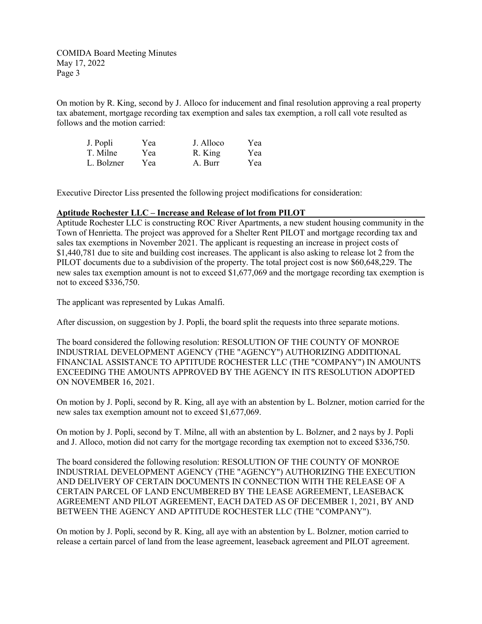COMIDA Board Meeting Minutes May 17, 2022 Page 3

On motion by R. King, second by J. Alloco for inducement and final resolution approving a real property tax abatement, mortgage recording tax exemption and sales tax exemption, a roll call vote resulted as follows and the motion carried:

| J. Popli   | Yea | J. Alloco | Yea |
|------------|-----|-----------|-----|
| T. Milne   | Yea | R. King   | Yea |
| L. Bolzner | Yea | A. Burr   | Yea |

Executive Director Liss presented the following project modifications for consideration:

### **Aptitude Rochester LLC – Increase and Release of lot from PILOT**

Aptitude Rochester LLC is constructing ROC River Apartments, a new student housing community in the Town of Henrietta. The project was approved for a Shelter Rent PILOT and mortgage recording tax and sales tax exemptions in November 2021. The applicant is requesting an increase in project costs of \$1,440,781 due to site and building cost increases. The applicant is also asking to release lot 2 from the PILOT documents due to a subdivision of the property. The total project cost is now \$60,648,229. The new sales tax exemption amount is not to exceed \$1,677,069 and the mortgage recording tax exemption is not to exceed \$336,750.

The applicant was represented by Lukas Amalfi.

After discussion, on suggestion by J. Popli, the board split the requests into three separate motions.

The board considered the following resolution: RESOLUTION OF THE COUNTY OF MONROE INDUSTRIAL DEVELOPMENT AGENCY (THE "AGENCY") AUTHORIZING ADDITIONAL FINANCIAL ASSISTANCE TO APTITUDE ROCHESTER LLC (THE "COMPANY") IN AMOUNTS EXCEEDING THE AMOUNTS APPROVED BY THE AGENCY IN ITS RESOLUTION ADOPTED ON NOVEMBER 16, 2021.

On motion by J. Popli, second by R. King, all aye with an abstention by L. Bolzner, motion carried for the new sales tax exemption amount not to exceed \$1,677,069.

On motion by J. Popli, second by T. Milne, all with an abstention by L. Bolzner, and 2 nays by J. Popli and J. Alloco, motion did not carry for the mortgage recording tax exemption not to exceed \$336,750.

The board considered the following resolution: RESOLUTION OF THE COUNTY OF MONROE INDUSTRIAL DEVELOPMENT AGENCY (THE "AGENCY") AUTHORIZING THE EXECUTION AND DELIVERY OF CERTAIN DOCUMENTS IN CONNECTION WITH THE RELEASE OF A CERTAIN PARCEL OF LAND ENCUMBERED BY THE LEASE AGREEMENT, LEASEBACK AGREEMENT AND PILOT AGREEMENT, EACH DATED AS OF DECEMBER 1, 2021, BY AND BETWEEN THE AGENCY AND APTITUDE ROCHESTER LLC (THE "COMPANY").

On motion by J. Popli, second by R. King, all aye with an abstention by L. Bolzner, motion carried to release a certain parcel of land from the lease agreement, leaseback agreement and PILOT agreement.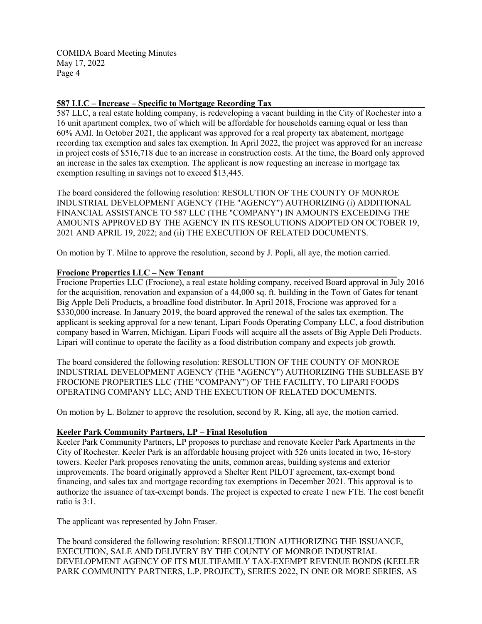COMIDA Board Meeting Minutes May 17, 2022 Page 4

## **587 LLC – Increase – Specific to Mortgage Recording Tax**

587 LLC, a real estate holding company, is redeveloping a vacant building in the City of Rochester into a 16 unit apartment complex, two of which will be affordable for households earning equal or less than 60% AMI. In October 2021, the applicant was approved for a real property tax abatement, mortgage recording tax exemption and sales tax exemption. In April 2022, the project was approved for an increase in project costs of \$516,718 due to an increase in construction costs. At the time, the Board only approved an increase in the sales tax exemption. The applicant is now requesting an increase in mortgage tax exemption resulting in savings not to exceed \$13,445.

The board considered the following resolution: RESOLUTION OF THE COUNTY OF MONROE INDUSTRIAL DEVELOPMENT AGENCY (THE "AGENCY") AUTHORIZING (i) ADDITIONAL FINANCIAL ASSISTANCE TO 587 LLC (THE "COMPANY") IN AMOUNTS EXCEEDING THE AMOUNTS APPROVED BY THE AGENCY IN ITS RESOLUTIONS ADOPTED ON OCTOBER 19, 2021 AND APRIL 19, 2022; and (ii) THE EXECUTION OF RELATED DOCUMENTS.

On motion by T. Milne to approve the resolution, second by J. Popli, all aye, the motion carried.

### **Frocione Properties LLC – New Tenant**

Frocione Properties LLC (Frocione), a real estate holding company, received Board approval in July 2016 for the acquisition, renovation and expansion of a 44,000 sq. ft. building in the Town of Gates for tenant Big Apple Deli Products, a broadline food distributor. In April 2018, Frocione was approved for a \$330,000 increase. In January 2019, the board approved the renewal of the sales tax exemption. The applicant is seeking approval for a new tenant, Lipari Foods Operating Company LLC, a food distribution company based in Warren, Michigan. Lipari Foods will acquire all the assets of Big Apple Deli Products. Lipari will continue to operate the facility as a food distribution company and expects job growth.

The board considered the following resolution: RESOLUTION OF THE COUNTY OF MONROE INDUSTRIAL DEVELOPMENT AGENCY (THE "AGENCY") AUTHORIZING THE SUBLEASE BY FROCIONE PROPERTIES LLC (THE "COMPANY") OF THE FACILITY, TO LIPARI FOODS OPERATING COMPANY LLC; AND THE EXECUTION OF RELATED DOCUMENTS.

On motion by L. Bolzner to approve the resolution, second by R. King, all aye, the motion carried.

#### **Keeler Park Community Partners, LP – Final Resolution**

Keeler Park Community Partners, LP proposes to purchase and renovate Keeler Park Apartments in the City of Rochester. Keeler Park is an affordable housing project with 526 units located in two, 16-story towers. Keeler Park proposes renovating the units, common areas, building systems and exterior improvements. The board originally approved a Shelter Rent PILOT agreement, tax-exempt bond financing, and sales tax and mortgage recording tax exemptions in December 2021. This approval is to authorize the issuance of tax-exempt bonds. The project is expected to create 1 new FTE. The cost benefit ratio is 3:1.

The applicant was represented by John Fraser.

The board considered the following resolution: RESOLUTION AUTHORIZING THE ISSUANCE, EXECUTION, SALE AND DELIVERY BY THE COUNTY OF MONROE INDUSTRIAL DEVELOPMENT AGENCY OF ITS MULTIFAMILY TAX-EXEMPT REVENUE BONDS (KEELER PARK COMMUNITY PARTNERS, L.P. PROJECT), SERIES 2022, IN ONE OR MORE SERIES, AS